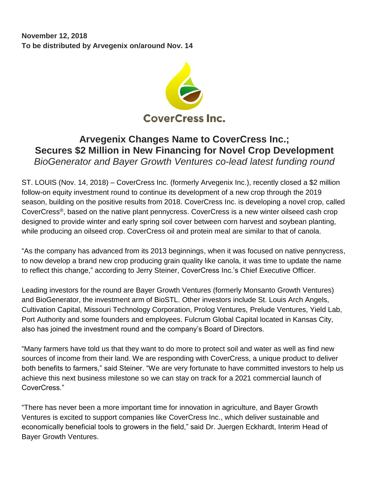**November 12, 2018 To be distributed by Arvegenix on/around Nov. 14**



## **Arvegenix Changes Name to CoverCress Inc.; Secures \$2 Million in New Financing for Novel Crop Development** *BioGenerator and Bayer Growth Ventures co-lead latest funding round*

ST. LOUIS (Nov. 14, 2018) – CoverCress Inc. (formerly Arvegenix Inc.), recently closed a \$2 million follow-on equity investment round to continue its development of a new crop through the 2019 season, building on the positive results from 2018. CoverCress Inc. is developing a novel crop, called CoverCress®, based on the native plant pennycress. CoverCress is a new winter oilseed cash crop designed to provide winter and early spring soil cover between corn harvest and soybean planting, while producing an oilseed crop. CoverCress oil and protein meal are similar to that of canola.

"As the company has advanced from its 2013 beginnings, when it was focused on native pennycress, to now develop a brand new crop producing grain quality like canola, it was time to update the name to reflect this change," according to Jerry Steiner, CoverCress Inc.'s Chief Executive Officer.

Leading investors for the round are Bayer Growth Ventures (formerly Monsanto Growth Ventures) and BioGenerator, the investment arm of BioSTL. Other investors include St. Louis Arch Angels, Cultivation Capital, Missouri Technology Corporation, Prolog Ventures, Prelude Ventures, Yield Lab, Port Authority and some founders and employees. Fulcrum Global Capital located in Kansas City, also has joined the investment round and the company's Board of Directors.

"Many farmers have told us that they want to do more to protect soil and water as well as find new sources of income from their land. We are responding with CoverCress, a unique product to deliver both benefits to farmers," said Steiner. "We are very fortunate to have committed investors to help us achieve this next business milestone so we can stay on track for a 2021 commercial launch of CoverCress."

"There has never been a more important time for innovation in agriculture, and Bayer Growth Ventures is excited to support companies like CoverCress Inc., which deliver sustainable and economically beneficial tools to growers in the field," said Dr. Juergen Eckhardt, Interim Head of Bayer Growth Ventures.